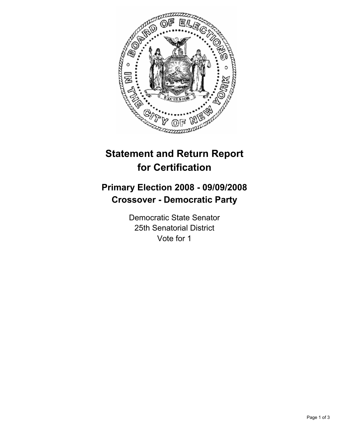

# **Statement and Return Report for Certification**

## **Primary Election 2008 - 09/09/2008 Crossover - Democratic Party**

Democratic State Senator 25th Senatorial District Vote for 1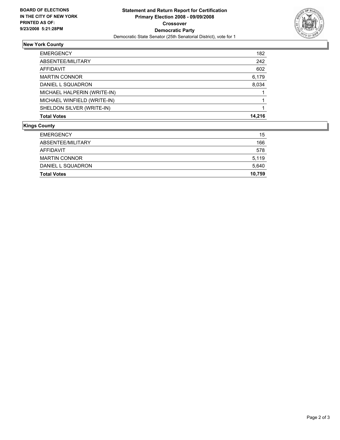

### **New York County**

| 182    |
|--------|
| 242    |
| 602    |
| 6,179  |
| 8,034  |
|        |
|        |
|        |
| 14,216 |
|        |

#### **Kings County**

| <b>Total Votes</b>   | 10,759 |
|----------------------|--------|
| DANIEL L SQUADRON    | 5,640  |
| <b>MARTIN CONNOR</b> | 5,119  |
| AFFIDAVIT            | 578    |
| ABSENTEE/MILITARY    | 166    |
| <b>EMERGENCY</b>     | 15     |